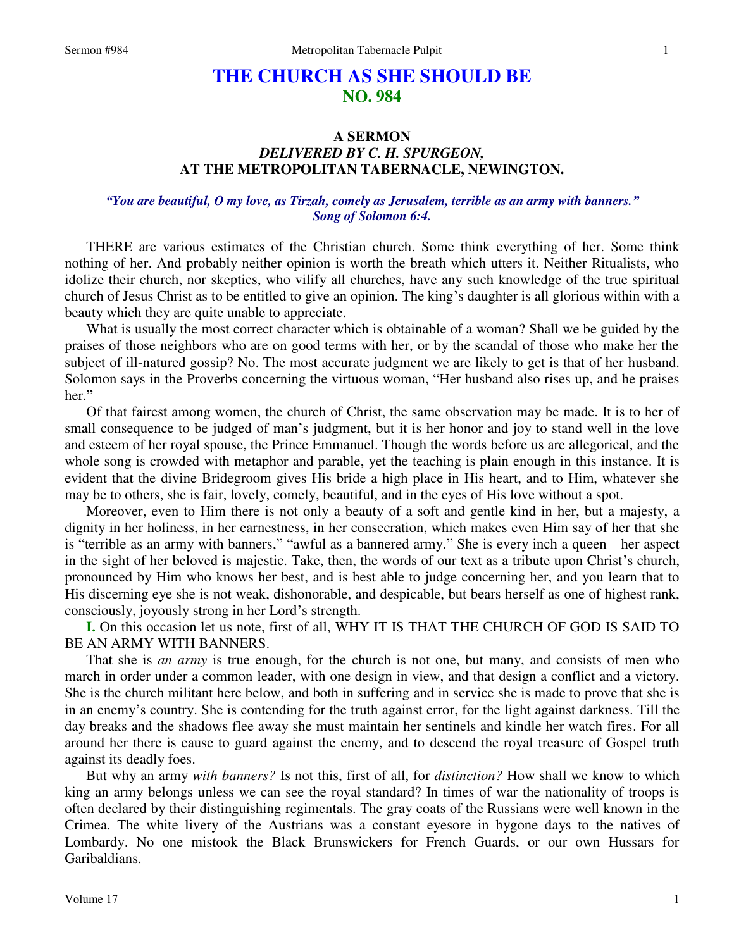# **THE CHURCH AS SHE SHOULD BE NO. 984**

## **A SERMON**  *DELIVERED BY C. H. SPURGEON,*  **AT THE METROPOLITAN TABERNACLE, NEWINGTON.**

### *"You are beautiful, O my love, as Tirzah, comely as Jerusalem, terrible as an army with banners." Song of Solomon 6:4.*

THERE are various estimates of the Christian church. Some think everything of her. Some think nothing of her. And probably neither opinion is worth the breath which utters it. Neither Ritualists, who idolize their church, nor skeptics, who vilify all churches, have any such knowledge of the true spiritual church of Jesus Christ as to be entitled to give an opinion. The king's daughter is all glorious within with a beauty which they are quite unable to appreciate.

What is usually the most correct character which is obtainable of a woman? Shall we be guided by the praises of those neighbors who are on good terms with her, or by the scandal of those who make her the subject of ill-natured gossip? No. The most accurate judgment we are likely to get is that of her husband. Solomon says in the Proverbs concerning the virtuous woman, "Her husband also rises up, and he praises her."

Of that fairest among women, the church of Christ, the same observation may be made. It is to her of small consequence to be judged of man's judgment, but it is her honor and joy to stand well in the love and esteem of her royal spouse, the Prince Emmanuel. Though the words before us are allegorical, and the whole song is crowded with metaphor and parable, yet the teaching is plain enough in this instance. It is evident that the divine Bridegroom gives His bride a high place in His heart, and to Him, whatever she may be to others, she is fair, lovely, comely, beautiful, and in the eyes of His love without a spot.

Moreover, even to Him there is not only a beauty of a soft and gentle kind in her, but a majesty, a dignity in her holiness, in her earnestness, in her consecration, which makes even Him say of her that she is "terrible as an army with banners," "awful as a bannered army." She is every inch a queen—her aspect in the sight of her beloved is majestic. Take, then, the words of our text as a tribute upon Christ's church, pronounced by Him who knows her best, and is best able to judge concerning her, and you learn that to His discerning eye she is not weak, dishonorable, and despicable, but bears herself as one of highest rank, consciously, joyously strong in her Lord's strength.

**I.** On this occasion let us note, first of all, WHY IT IS THAT THE CHURCH OF GOD IS SAID TO BE AN ARMY WITH BANNERS.

That she is *an army* is true enough, for the church is not one, but many, and consists of men who march in order under a common leader, with one design in view, and that design a conflict and a victory. She is the church militant here below, and both in suffering and in service she is made to prove that she is in an enemy's country. She is contending for the truth against error, for the light against darkness. Till the day breaks and the shadows flee away she must maintain her sentinels and kindle her watch fires. For all around her there is cause to guard against the enemy, and to descend the royal treasure of Gospel truth against its deadly foes.

But why an army *with banners?* Is not this, first of all, for *distinction?* How shall we know to which king an army belongs unless we can see the royal standard? In times of war the nationality of troops is often declared by their distinguishing regimentals. The gray coats of the Russians were well known in the Crimea. The white livery of the Austrians was a constant eyesore in bygone days to the natives of Lombardy. No one mistook the Black Brunswickers for French Guards, or our own Hussars for Garibaldians.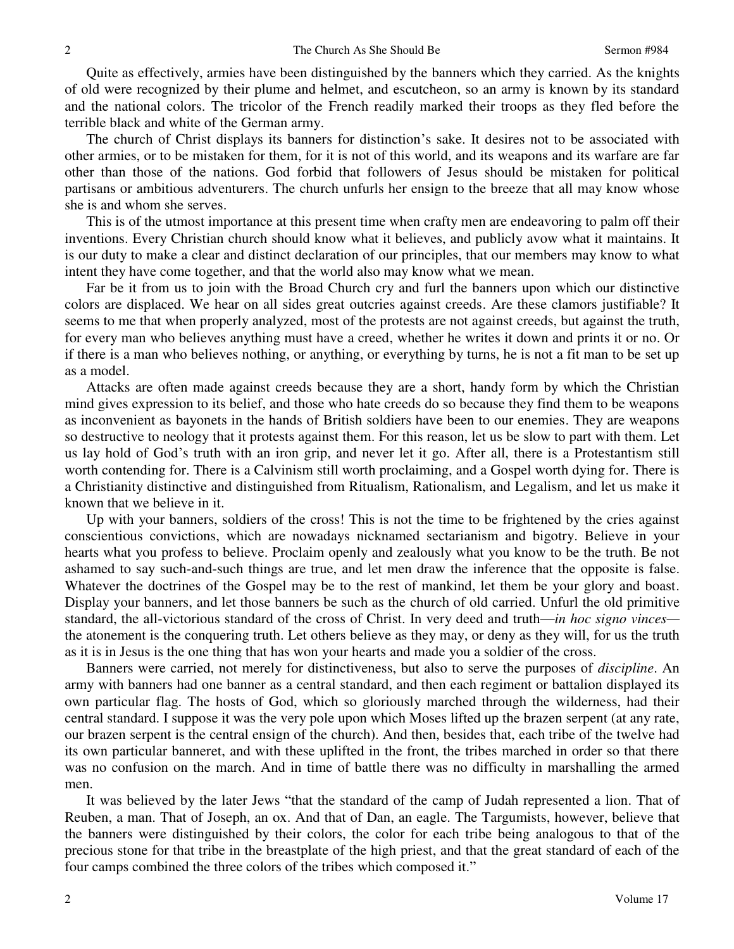Quite as effectively, armies have been distinguished by the banners which they carried. As the knights of old were recognized by their plume and helmet, and escutcheon, so an army is known by its standard and the national colors. The tricolor of the French readily marked their troops as they fled before the terrible black and white of the German army.

The church of Christ displays its banners for distinction's sake. It desires not to be associated with other armies, or to be mistaken for them, for it is not of this world, and its weapons and its warfare are far other than those of the nations. God forbid that followers of Jesus should be mistaken for political partisans or ambitious adventurers. The church unfurls her ensign to the breeze that all may know whose she is and whom she serves.

This is of the utmost importance at this present time when crafty men are endeavoring to palm off their inventions. Every Christian church should know what it believes, and publicly avow what it maintains. It is our duty to make a clear and distinct declaration of our principles, that our members may know to what intent they have come together, and that the world also may know what we mean.

Far be it from us to join with the Broad Church cry and furl the banners upon which our distinctive colors are displaced. We hear on all sides great outcries against creeds. Are these clamors justifiable? It seems to me that when properly analyzed, most of the protests are not against creeds, but against the truth, for every man who believes anything must have a creed, whether he writes it down and prints it or no. Or if there is a man who believes nothing, or anything, or everything by turns, he is not a fit man to be set up as a model.

Attacks are often made against creeds because they are a short, handy form by which the Christian mind gives expression to its belief, and those who hate creeds do so because they find them to be weapons as inconvenient as bayonets in the hands of British soldiers have been to our enemies. They are weapons so destructive to neology that it protests against them. For this reason, let us be slow to part with them. Let us lay hold of God's truth with an iron grip, and never let it go. After all, there is a Protestantism still worth contending for. There is a Calvinism still worth proclaiming, and a Gospel worth dying for. There is a Christianity distinctive and distinguished from Ritualism, Rationalism, and Legalism, and let us make it known that we believe in it.

Up with your banners, soldiers of the cross! This is not the time to be frightened by the cries against conscientious convictions, which are nowadays nicknamed sectarianism and bigotry. Believe in your hearts what you profess to believe. Proclaim openly and zealously what you know to be the truth. Be not ashamed to say such-and-such things are true, and let men draw the inference that the opposite is false. Whatever the doctrines of the Gospel may be to the rest of mankind, let them be your glory and boast. Display your banners, and let those banners be such as the church of old carried. Unfurl the old primitive standard, the all-victorious standard of the cross of Christ. In very deed and truth—*in hoc signo vinces* the atonement is the conquering truth. Let others believe as they may, or deny as they will, for us the truth as it is in Jesus is the one thing that has won your hearts and made you a soldier of the cross.

Banners were carried, not merely for distinctiveness, but also to serve the purposes of *discipline*. An army with banners had one banner as a central standard, and then each regiment or battalion displayed its own particular flag. The hosts of God, which so gloriously marched through the wilderness, had their central standard. I suppose it was the very pole upon which Moses lifted up the brazen serpent (at any rate, our brazen serpent is the central ensign of the church). And then, besides that, each tribe of the twelve had its own particular banneret, and with these uplifted in the front, the tribes marched in order so that there was no confusion on the march. And in time of battle there was no difficulty in marshalling the armed men.

It was believed by the later Jews "that the standard of the camp of Judah represented a lion. That of Reuben, a man. That of Joseph, an ox. And that of Dan, an eagle. The Targumists, however, believe that the banners were distinguished by their colors, the color for each tribe being analogous to that of the precious stone for that tribe in the breastplate of the high priest, and that the great standard of each of the four camps combined the three colors of the tribes which composed it."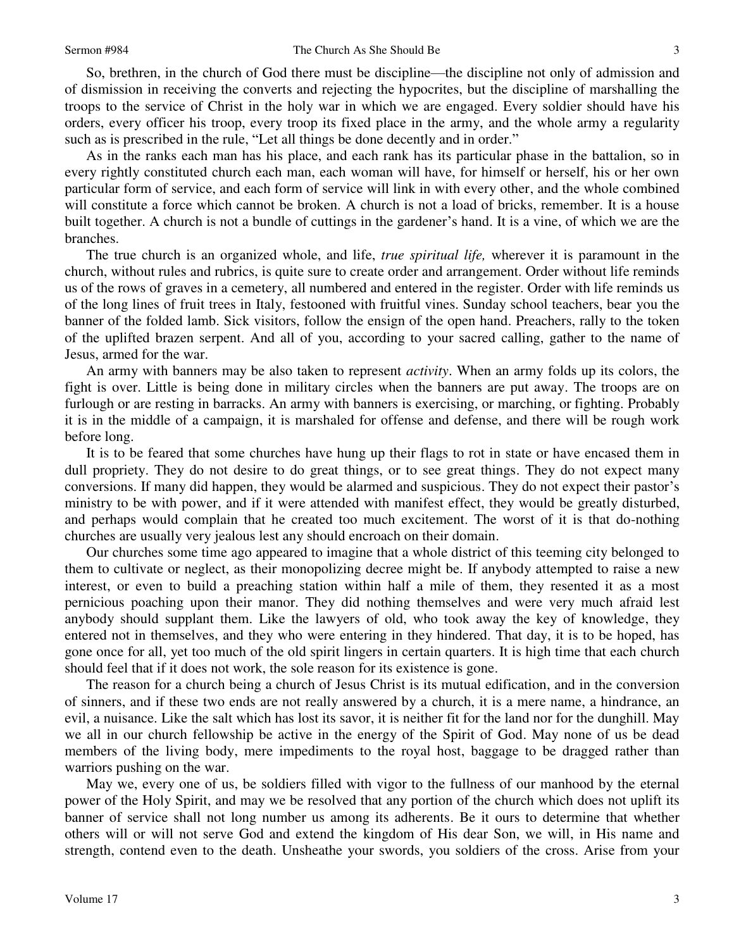So, brethren, in the church of God there must be discipline—the discipline not only of admission and of dismission in receiving the converts and rejecting the hypocrites, but the discipline of marshalling the troops to the service of Christ in the holy war in which we are engaged. Every soldier should have his orders, every officer his troop, every troop its fixed place in the army, and the whole army a regularity such as is prescribed in the rule, "Let all things be done decently and in order."

As in the ranks each man has his place, and each rank has its particular phase in the battalion, so in every rightly constituted church each man, each woman will have, for himself or herself, his or her own particular form of service, and each form of service will link in with every other, and the whole combined will constitute a force which cannot be broken. A church is not a load of bricks, remember. It is a house built together. A church is not a bundle of cuttings in the gardener's hand. It is a vine, of which we are the branches.

The true church is an organized whole, and life, *true spiritual life,* wherever it is paramount in the church, without rules and rubrics, is quite sure to create order and arrangement. Order without life reminds us of the rows of graves in a cemetery, all numbered and entered in the register. Order with life reminds us of the long lines of fruit trees in Italy, festooned with fruitful vines. Sunday school teachers, bear you the banner of the folded lamb. Sick visitors, follow the ensign of the open hand. Preachers, rally to the token of the uplifted brazen serpent. And all of you, according to your sacred calling, gather to the name of Jesus, armed for the war.

An army with banners may be also taken to represent *activity*. When an army folds up its colors, the fight is over. Little is being done in military circles when the banners are put away. The troops are on furlough or are resting in barracks. An army with banners is exercising, or marching, or fighting. Probably it is in the middle of a campaign, it is marshaled for offense and defense, and there will be rough work before long.

It is to be feared that some churches have hung up their flags to rot in state or have encased them in dull propriety. They do not desire to do great things, or to see great things. They do not expect many conversions. If many did happen, they would be alarmed and suspicious. They do not expect their pastor's ministry to be with power, and if it were attended with manifest effect, they would be greatly disturbed, and perhaps would complain that he created too much excitement. The worst of it is that do-nothing churches are usually very jealous lest any should encroach on their domain.

Our churches some time ago appeared to imagine that a whole district of this teeming city belonged to them to cultivate or neglect, as their monopolizing decree might be. If anybody attempted to raise a new interest, or even to build a preaching station within half a mile of them, they resented it as a most pernicious poaching upon their manor. They did nothing themselves and were very much afraid lest anybody should supplant them. Like the lawyers of old, who took away the key of knowledge, they entered not in themselves, and they who were entering in they hindered. That day, it is to be hoped, has gone once for all, yet too much of the old spirit lingers in certain quarters. It is high time that each church should feel that if it does not work, the sole reason for its existence is gone.

The reason for a church being a church of Jesus Christ is its mutual edification, and in the conversion of sinners, and if these two ends are not really answered by a church, it is a mere name, a hindrance, an evil, a nuisance. Like the salt which has lost its savor, it is neither fit for the land nor for the dunghill. May we all in our church fellowship be active in the energy of the Spirit of God. May none of us be dead members of the living body, mere impediments to the royal host, baggage to be dragged rather than warriors pushing on the war.

May we, every one of us, be soldiers filled with vigor to the fullness of our manhood by the eternal power of the Holy Spirit, and may we be resolved that any portion of the church which does not uplift its banner of service shall not long number us among its adherents. Be it ours to determine that whether others will or will not serve God and extend the kingdom of His dear Son, we will, in His name and strength, contend even to the death. Unsheathe your swords, you soldiers of the cross. Arise from your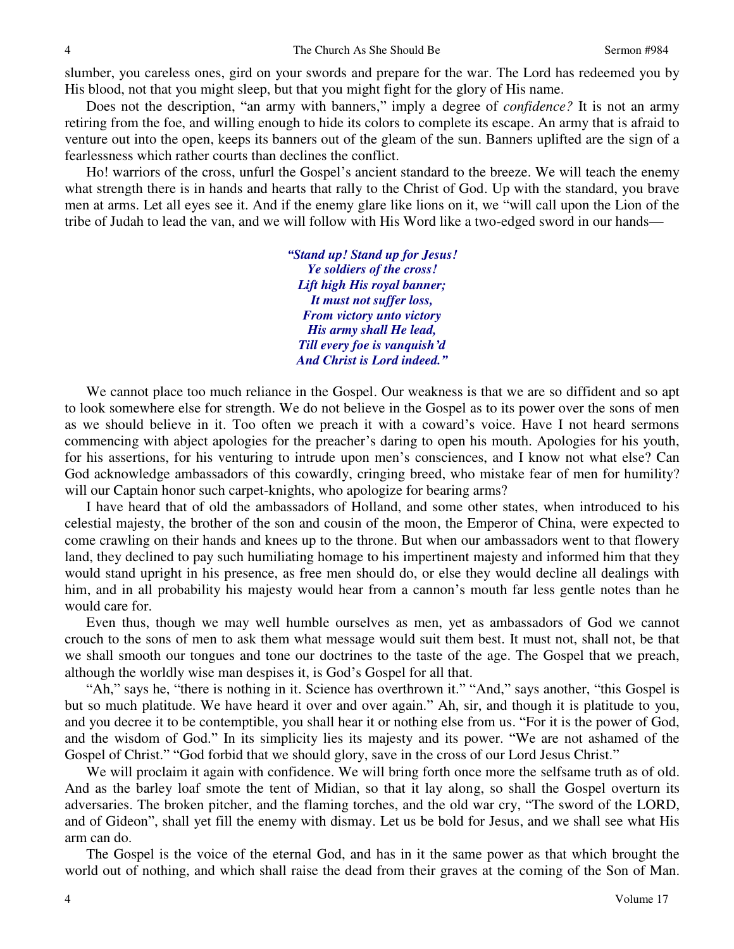slumber, you careless ones, gird on your swords and prepare for the war. The Lord has redeemed you by His blood, not that you might sleep, but that you might fight for the glory of His name.

Does not the description, "an army with banners," imply a degree of *confidence?* It is not an army retiring from the foe, and willing enough to hide its colors to complete its escape. An army that is afraid to venture out into the open, keeps its banners out of the gleam of the sun. Banners uplifted are the sign of a fearlessness which rather courts than declines the conflict.

Ho! warriors of the cross, unfurl the Gospel's ancient standard to the breeze. We will teach the enemy what strength there is in hands and hearts that rally to the Christ of God. Up with the standard, you brave men at arms. Let all eyes see it. And if the enemy glare like lions on it, we "will call upon the Lion of the tribe of Judah to lead the van, and we will follow with His Word like a two-edged sword in our hands—

> *"Stand up! Stand up for Jesus! Ye soldiers of the cross! Lift high His royal banner; It must not suffer loss, From victory unto victory His army shall He lead, Till every foe is vanquish'd And Christ is Lord indeed."*

We cannot place too much reliance in the Gospel. Our weakness is that we are so diffident and so apt to look somewhere else for strength. We do not believe in the Gospel as to its power over the sons of men as we should believe in it. Too often we preach it with a coward's voice. Have I not heard sermons commencing with abject apologies for the preacher's daring to open his mouth. Apologies for his youth, for his assertions, for his venturing to intrude upon men's consciences, and I know not what else? Can God acknowledge ambassadors of this cowardly, cringing breed, who mistake fear of men for humility? will our Captain honor such carpet-knights, who apologize for bearing arms?

I have heard that of old the ambassadors of Holland, and some other states, when introduced to his celestial majesty, the brother of the son and cousin of the moon, the Emperor of China, were expected to come crawling on their hands and knees up to the throne. But when our ambassadors went to that flowery land, they declined to pay such humiliating homage to his impertinent majesty and informed him that they would stand upright in his presence, as free men should do, or else they would decline all dealings with him, and in all probability his majesty would hear from a cannon's mouth far less gentle notes than he would care for.

Even thus, though we may well humble ourselves as men, yet as ambassadors of God we cannot crouch to the sons of men to ask them what message would suit them best. It must not, shall not, be that we shall smooth our tongues and tone our doctrines to the taste of the age. The Gospel that we preach, although the worldly wise man despises it, is God's Gospel for all that.

"Ah," says he, "there is nothing in it. Science has overthrown it." "And," says another, "this Gospel is but so much platitude. We have heard it over and over again." Ah, sir, and though it is platitude to you, and you decree it to be contemptible, you shall hear it or nothing else from us. "For it is the power of God, and the wisdom of God." In its simplicity lies its majesty and its power. "We are not ashamed of the Gospel of Christ." "God forbid that we should glory, save in the cross of our Lord Jesus Christ."

We will proclaim it again with confidence. We will bring forth once more the selfsame truth as of old. And as the barley loaf smote the tent of Midian, so that it lay along, so shall the Gospel overturn its adversaries. The broken pitcher, and the flaming torches, and the old war cry, "The sword of the LORD, and of Gideon", shall yet fill the enemy with dismay. Let us be bold for Jesus, and we shall see what His arm can do.

The Gospel is the voice of the eternal God, and has in it the same power as that which brought the world out of nothing, and which shall raise the dead from their graves at the coming of the Son of Man.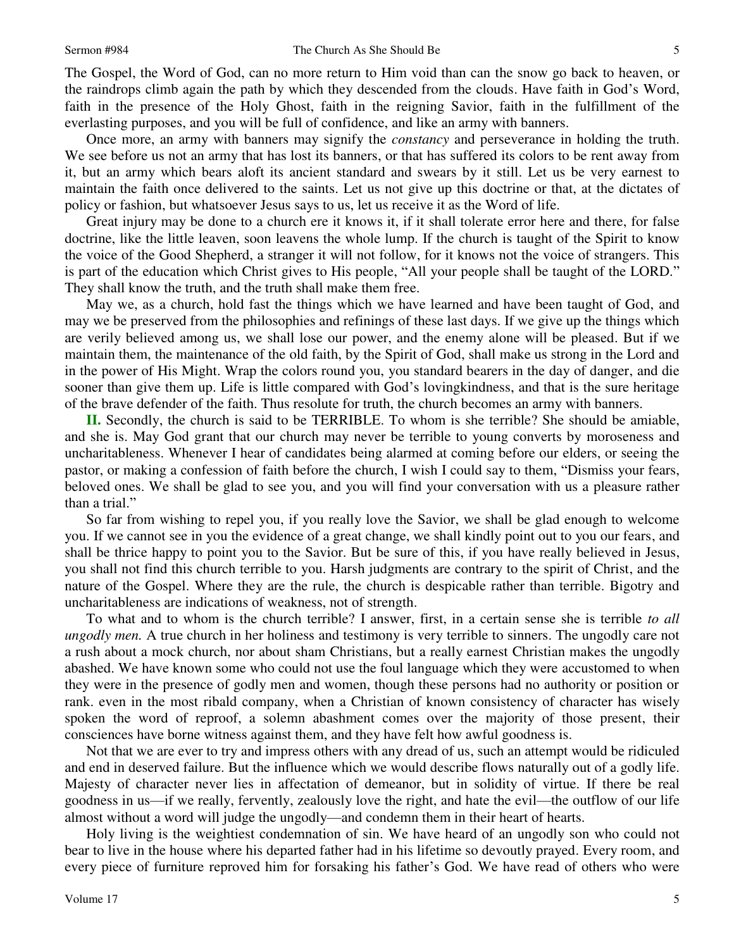The Gospel, the Word of God, can no more return to Him void than can the snow go back to heaven, or the raindrops climb again the path by which they descended from the clouds. Have faith in God's Word, faith in the presence of the Holy Ghost, faith in the reigning Savior, faith in the fulfillment of the everlasting purposes, and you will be full of confidence, and like an army with banners.

Once more, an army with banners may signify the *constancy* and perseverance in holding the truth. We see before us not an army that has lost its banners, or that has suffered its colors to be rent away from it, but an army which bears aloft its ancient standard and swears by it still. Let us be very earnest to maintain the faith once delivered to the saints. Let us not give up this doctrine or that, at the dictates of policy or fashion, but whatsoever Jesus says to us, let us receive it as the Word of life.

Great injury may be done to a church ere it knows it, if it shall tolerate error here and there, for false doctrine, like the little leaven, soon leavens the whole lump. If the church is taught of the Spirit to know the voice of the Good Shepherd, a stranger it will not follow, for it knows not the voice of strangers. This is part of the education which Christ gives to His people, "All your people shall be taught of the LORD." They shall know the truth, and the truth shall make them free.

May we, as a church, hold fast the things which we have learned and have been taught of God, and may we be preserved from the philosophies and refinings of these last days. If we give up the things which are verily believed among us, we shall lose our power, and the enemy alone will be pleased. But if we maintain them, the maintenance of the old faith, by the Spirit of God, shall make us strong in the Lord and in the power of His Might. Wrap the colors round you, you standard bearers in the day of danger, and die sooner than give them up. Life is little compared with God's lovingkindness, and that is the sure heritage of the brave defender of the faith. Thus resolute for truth, the church becomes an army with banners.

**II.** Secondly, the church is said to be TERRIBLE. To whom is she terrible? She should be amiable, and she is. May God grant that our church may never be terrible to young converts by moroseness and uncharitableness. Whenever I hear of candidates being alarmed at coming before our elders, or seeing the pastor, or making a confession of faith before the church, I wish I could say to them, "Dismiss your fears, beloved ones. We shall be glad to see you, and you will find your conversation with us a pleasure rather than a trial."

So far from wishing to repel you, if you really love the Savior, we shall be glad enough to welcome you. If we cannot see in you the evidence of a great change, we shall kindly point out to you our fears, and shall be thrice happy to point you to the Savior. But be sure of this, if you have really believed in Jesus, you shall not find this church terrible to you. Harsh judgments are contrary to the spirit of Christ, and the nature of the Gospel. Where they are the rule, the church is despicable rather than terrible. Bigotry and uncharitableness are indications of weakness, not of strength.

To what and to whom is the church terrible? I answer, first, in a certain sense she is terrible *to all ungodly men.* A true church in her holiness and testimony is very terrible to sinners. The ungodly care not a rush about a mock church, nor about sham Christians, but a really earnest Christian makes the ungodly abashed. We have known some who could not use the foul language which they were accustomed to when they were in the presence of godly men and women, though these persons had no authority or position or rank. even in the most ribald company, when a Christian of known consistency of character has wisely spoken the word of reproof, a solemn abashment comes over the majority of those present, their consciences have borne witness against them, and they have felt how awful goodness is.

Not that we are ever to try and impress others with any dread of us, such an attempt would be ridiculed and end in deserved failure. But the influence which we would describe flows naturally out of a godly life. Majesty of character never lies in affectation of demeanor, but in solidity of virtue. If there be real goodness in us—if we really, fervently, zealously love the right, and hate the evil—the outflow of our life almost without a word will judge the ungodly—and condemn them in their heart of hearts.

Holy living is the weightiest condemnation of sin. We have heard of an ungodly son who could not bear to live in the house where his departed father had in his lifetime so devoutly prayed. Every room, and every piece of furniture reproved him for forsaking his father's God. We have read of others who were

5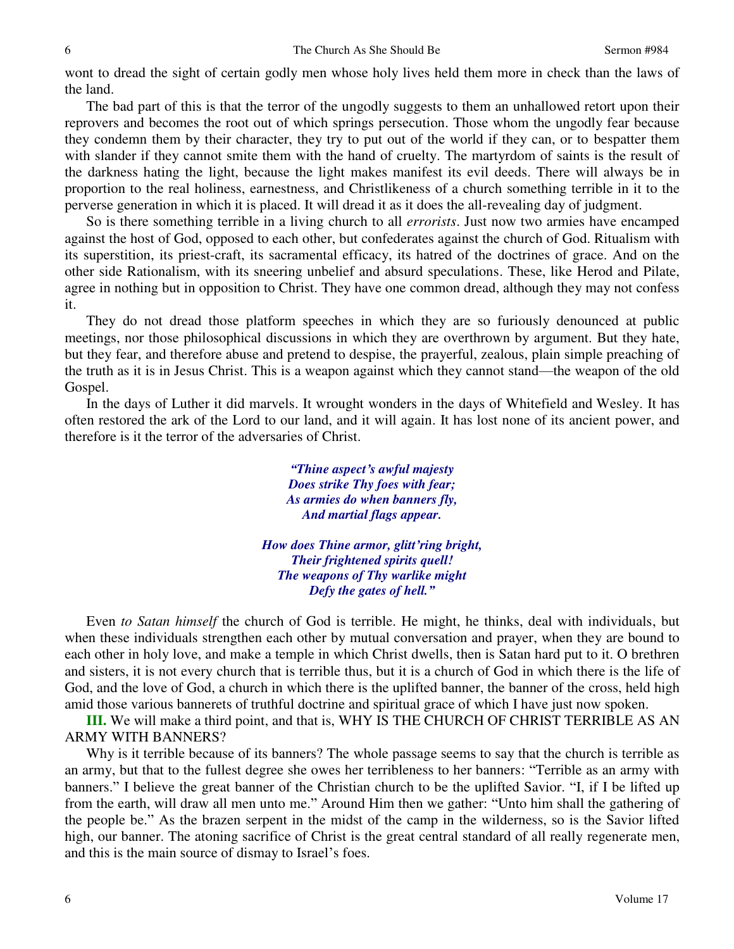wont to dread the sight of certain godly men whose holy lives held them more in check than the laws of the land.

The bad part of this is that the terror of the ungodly suggests to them an unhallowed retort upon their reprovers and becomes the root out of which springs persecution. Those whom the ungodly fear because they condemn them by their character, they try to put out of the world if they can, or to bespatter them with slander if they cannot smite them with the hand of cruelty. The martyrdom of saints is the result of the darkness hating the light, because the light makes manifest its evil deeds. There will always be in proportion to the real holiness, earnestness, and Christlikeness of a church something terrible in it to the perverse generation in which it is placed. It will dread it as it does the all-revealing day of judgment.

So is there something terrible in a living church to all *errorists*. Just now two armies have encamped against the host of God, opposed to each other, but confederates against the church of God. Ritualism with its superstition, its priest-craft, its sacramental efficacy, its hatred of the doctrines of grace. And on the other side Rationalism, with its sneering unbelief and absurd speculations. These, like Herod and Pilate, agree in nothing but in opposition to Christ. They have one common dread, although they may not confess it.

They do not dread those platform speeches in which they are so furiously denounced at public meetings, nor those philosophical discussions in which they are overthrown by argument. But they hate, but they fear, and therefore abuse and pretend to despise, the prayerful, zealous, plain simple preaching of the truth as it is in Jesus Christ. This is a weapon against which they cannot stand—the weapon of the old Gospel.

In the days of Luther it did marvels. It wrought wonders in the days of Whitefield and Wesley. It has often restored the ark of the Lord to our land, and it will again. It has lost none of its ancient power, and therefore is it the terror of the adversaries of Christ.

> *"Thine aspect's awful majesty Does strike Thy foes with fear; As armies do when banners fly, And martial flags appear.*

*How does Thine armor, glitt'ring bright, Their frightened spirits quell! The weapons of Thy warlike might Defy the gates of hell."*

Even *to Satan himself* the church of God is terrible. He might, he thinks, deal with individuals, but when these individuals strengthen each other by mutual conversation and prayer, when they are bound to each other in holy love, and make a temple in which Christ dwells, then is Satan hard put to it. O brethren and sisters, it is not every church that is terrible thus, but it is a church of God in which there is the life of God, and the love of God, a church in which there is the uplifted banner, the banner of the cross, held high amid those various bannerets of truthful doctrine and spiritual grace of which I have just now spoken.

**III.** We will make a third point, and that is, WHY IS THE CHURCH OF CHRIST TERRIBLE AS AN ARMY WITH BANNERS?

Why is it terrible because of its banners? The whole passage seems to say that the church is terrible as an army, but that to the fullest degree she owes her terribleness to her banners: "Terrible as an army with banners." I believe the great banner of the Christian church to be the uplifted Savior. "I, if I be lifted up from the earth, will draw all men unto me." Around Him then we gather: "Unto him shall the gathering of the people be." As the brazen serpent in the midst of the camp in the wilderness, so is the Savior lifted high, our banner. The atoning sacrifice of Christ is the great central standard of all really regenerate men, and this is the main source of dismay to Israel's foes.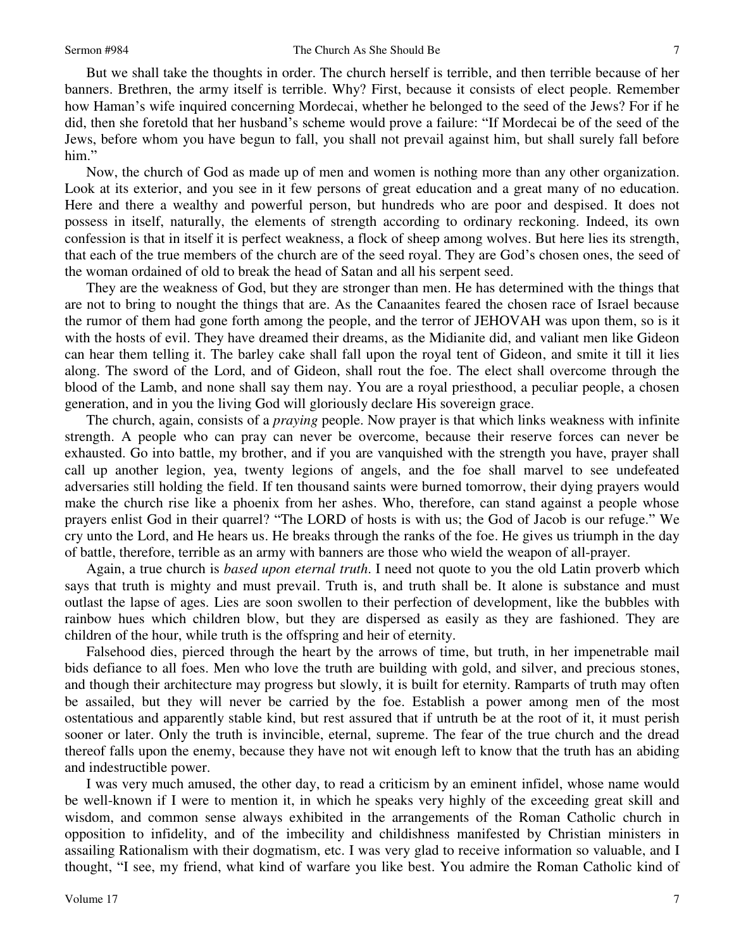But we shall take the thoughts in order. The church herself is terrible, and then terrible because of her banners. Brethren, the army itself is terrible. Why? First, because it consists of elect people. Remember how Haman's wife inquired concerning Mordecai, whether he belonged to the seed of the Jews? For if he did, then she foretold that her husband's scheme would prove a failure: "If Mordecai be of the seed of the Jews, before whom you have begun to fall, you shall not prevail against him, but shall surely fall before him."

Now, the church of God as made up of men and women is nothing more than any other organization. Look at its exterior, and you see in it few persons of great education and a great many of no education. Here and there a wealthy and powerful person, but hundreds who are poor and despised. It does not possess in itself, naturally, the elements of strength according to ordinary reckoning. Indeed, its own confession is that in itself it is perfect weakness, a flock of sheep among wolves. But here lies its strength, that each of the true members of the church are of the seed royal. They are God's chosen ones, the seed of the woman ordained of old to break the head of Satan and all his serpent seed.

They are the weakness of God, but they are stronger than men. He has determined with the things that are not to bring to nought the things that are. As the Canaanites feared the chosen race of Israel because the rumor of them had gone forth among the people, and the terror of JEHOVAH was upon them, so is it with the hosts of evil. They have dreamed their dreams, as the Midianite did, and valiant men like Gideon can hear them telling it. The barley cake shall fall upon the royal tent of Gideon, and smite it till it lies along. The sword of the Lord, and of Gideon, shall rout the foe. The elect shall overcome through the blood of the Lamb, and none shall say them nay. You are a royal priesthood, a peculiar people, a chosen generation, and in you the living God will gloriously declare His sovereign grace.

The church, again, consists of a *praying* people. Now prayer is that which links weakness with infinite strength. A people who can pray can never be overcome, because their reserve forces can never be exhausted. Go into battle, my brother, and if you are vanquished with the strength you have, prayer shall call up another legion, yea, twenty legions of angels, and the foe shall marvel to see undefeated adversaries still holding the field. If ten thousand saints were burned tomorrow, their dying prayers would make the church rise like a phoenix from her ashes. Who, therefore, can stand against a people whose prayers enlist God in their quarrel? "The LORD of hosts is with us; the God of Jacob is our refuge." We cry unto the Lord, and He hears us. He breaks through the ranks of the foe. He gives us triumph in the day of battle, therefore, terrible as an army with banners are those who wield the weapon of all-prayer.

Again, a true church is *based upon eternal truth*. I need not quote to you the old Latin proverb which says that truth is mighty and must prevail. Truth is, and truth shall be. It alone is substance and must outlast the lapse of ages. Lies are soon swollen to their perfection of development, like the bubbles with rainbow hues which children blow, but they are dispersed as easily as they are fashioned. They are children of the hour, while truth is the offspring and heir of eternity.

Falsehood dies, pierced through the heart by the arrows of time, but truth, in her impenetrable mail bids defiance to all foes. Men who love the truth are building with gold, and silver, and precious stones, and though their architecture may progress but slowly, it is built for eternity. Ramparts of truth may often be assailed, but they will never be carried by the foe. Establish a power among men of the most ostentatious and apparently stable kind, but rest assured that if untruth be at the root of it, it must perish sooner or later. Only the truth is invincible, eternal, supreme. The fear of the true church and the dread thereof falls upon the enemy, because they have not wit enough left to know that the truth has an abiding and indestructible power.

I was very much amused, the other day, to read a criticism by an eminent infidel, whose name would be well-known if I were to mention it, in which he speaks very highly of the exceeding great skill and wisdom, and common sense always exhibited in the arrangements of the Roman Catholic church in opposition to infidelity, and of the imbecility and childishness manifested by Christian ministers in assailing Rationalism with their dogmatism, etc. I was very glad to receive information so valuable, and I thought, "I see, my friend, what kind of warfare you like best. You admire the Roman Catholic kind of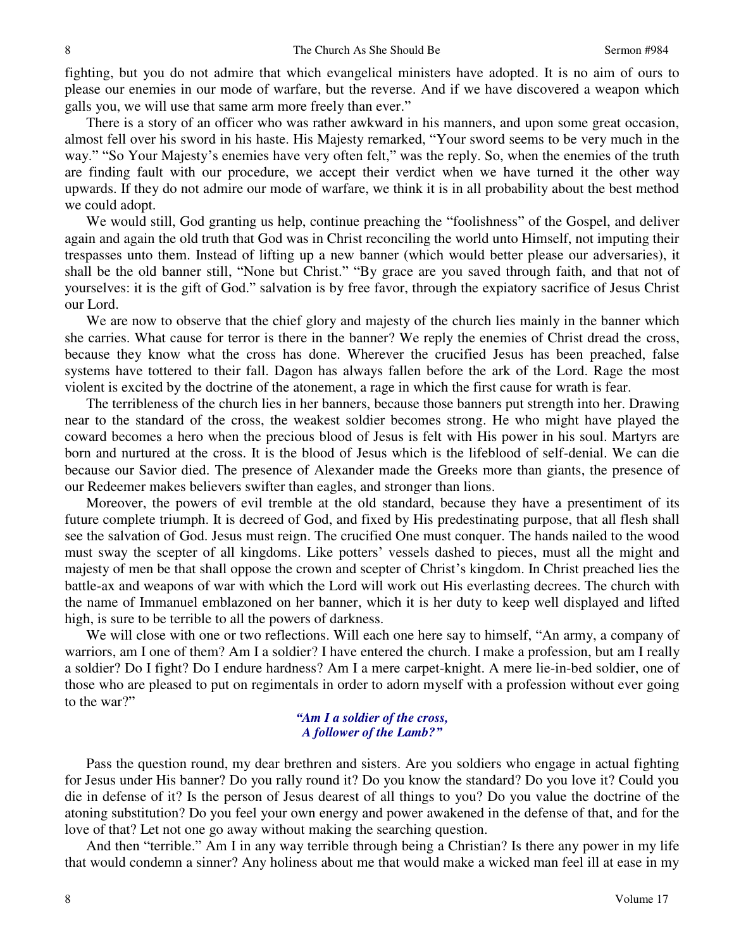fighting, but you do not admire that which evangelical ministers have adopted. It is no aim of ours to please our enemies in our mode of warfare, but the reverse. And if we have discovered a weapon which galls you, we will use that same arm more freely than ever."

There is a story of an officer who was rather awkward in his manners, and upon some great occasion, almost fell over his sword in his haste. His Majesty remarked, "Your sword seems to be very much in the way." "So Your Majesty's enemies have very often felt," was the reply. So, when the enemies of the truth are finding fault with our procedure, we accept their verdict when we have turned it the other way upwards. If they do not admire our mode of warfare, we think it is in all probability about the best method we could adopt.

We would still, God granting us help, continue preaching the "foolishness" of the Gospel, and deliver again and again the old truth that God was in Christ reconciling the world unto Himself, not imputing their trespasses unto them. Instead of lifting up a new banner (which would better please our adversaries), it shall be the old banner still, "None but Christ." "By grace are you saved through faith, and that not of yourselves: it is the gift of God." salvation is by free favor, through the expiatory sacrifice of Jesus Christ our Lord.

We are now to observe that the chief glory and majesty of the church lies mainly in the banner which she carries. What cause for terror is there in the banner? We reply the enemies of Christ dread the cross, because they know what the cross has done. Wherever the crucified Jesus has been preached, false systems have tottered to their fall. Dagon has always fallen before the ark of the Lord. Rage the most violent is excited by the doctrine of the atonement, a rage in which the first cause for wrath is fear.

The terribleness of the church lies in her banners, because those banners put strength into her. Drawing near to the standard of the cross, the weakest soldier becomes strong. He who might have played the coward becomes a hero when the precious blood of Jesus is felt with His power in his soul. Martyrs are born and nurtured at the cross. It is the blood of Jesus which is the lifeblood of self-denial. We can die because our Savior died. The presence of Alexander made the Greeks more than giants, the presence of our Redeemer makes believers swifter than eagles, and stronger than lions.

Moreover, the powers of evil tremble at the old standard, because they have a presentiment of its future complete triumph. It is decreed of God, and fixed by His predestinating purpose, that all flesh shall see the salvation of God. Jesus must reign. The crucified One must conquer. The hands nailed to the wood must sway the scepter of all kingdoms. Like potters' vessels dashed to pieces, must all the might and majesty of men be that shall oppose the crown and scepter of Christ's kingdom. In Christ preached lies the battle-ax and weapons of war with which the Lord will work out His everlasting decrees. The church with the name of Immanuel emblazoned on her banner, which it is her duty to keep well displayed and lifted high, is sure to be terrible to all the powers of darkness.

We will close with one or two reflections. Will each one here say to himself, "An army, a company of warriors, am I one of them? Am I a soldier? I have entered the church. I make a profession, but am I really a soldier? Do I fight? Do I endure hardness? Am I a mere carpet-knight. A mere lie-in-bed soldier, one of those who are pleased to put on regimentals in order to adorn myself with a profession without ever going to the war?"

#### *"Am I a soldier of the cross, A follower of the Lamb?"*

Pass the question round, my dear brethren and sisters. Are you soldiers who engage in actual fighting for Jesus under His banner? Do you rally round it? Do you know the standard? Do you love it? Could you die in defense of it? Is the person of Jesus dearest of all things to you? Do you value the doctrine of the atoning substitution? Do you feel your own energy and power awakened in the defense of that, and for the love of that? Let not one go away without making the searching question.

And then "terrible." Am I in any way terrible through being a Christian? Is there any power in my life that would condemn a sinner? Any holiness about me that would make a wicked man feel ill at ease in my